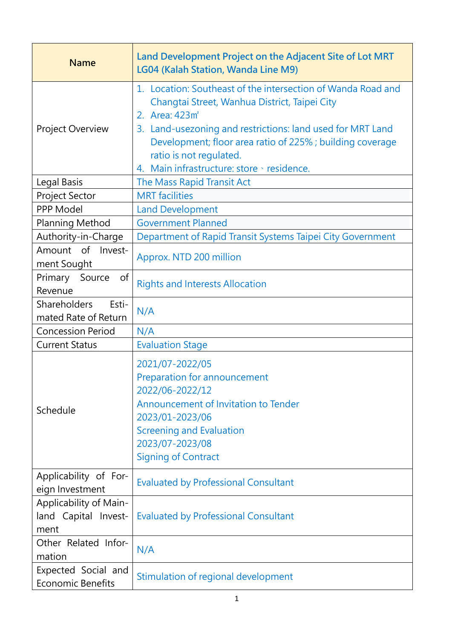| <b>Name</b>                                            | Land Development Project on the Adjacent Site of Lot MRT<br>LG04 (Kalah Station, Wanda Line M9)                                                                                                                                                                                                                                                |
|--------------------------------------------------------|------------------------------------------------------------------------------------------------------------------------------------------------------------------------------------------------------------------------------------------------------------------------------------------------------------------------------------------------|
| Project Overview                                       | 1. Location: Southeast of the intersection of Wanda Road and<br>Changtai Street, Wanhua District, Taipei City<br>2. Area: 423m <sup>2</sup><br>3. Land-usezoning and restrictions: land used for MRT Land<br>Development; floor area ratio of 225%; building coverage<br>ratio is not regulated.<br>4. Main infrastructure: store · residence. |
| Legal Basis                                            | The Mass Rapid Transit Act                                                                                                                                                                                                                                                                                                                     |
| Project Sector                                         | <b>MRT</b> facilities                                                                                                                                                                                                                                                                                                                          |
| PPP Model                                              | <b>Land Development</b>                                                                                                                                                                                                                                                                                                                        |
| Planning Method                                        | <b>Government Planned</b>                                                                                                                                                                                                                                                                                                                      |
| Authority-in-Charge                                    | Department of Rapid Transit Systems Taipei City Government                                                                                                                                                                                                                                                                                     |
| Amount of<br>Invest-<br>ment Sought                    | Approx. NTD 200 million                                                                                                                                                                                                                                                                                                                        |
| Primary<br><sub>of</sub><br>Source<br>Revenue          | <b>Rights and Interests Allocation</b>                                                                                                                                                                                                                                                                                                         |
| Shareholders<br>Esti-<br>mated Rate of Return          | N/A                                                                                                                                                                                                                                                                                                                                            |
| <b>Concession Period</b>                               | N/A                                                                                                                                                                                                                                                                                                                                            |
| <b>Current Status</b>                                  | <b>Evaluation Stage</b>                                                                                                                                                                                                                                                                                                                        |
| Schedule                                               | 2021/07-2022/05<br>Preparation for announcement<br>2022/06-2022/12<br>Announcement of Invitation to Tender<br>2023/01-2023/06<br><b>Screening and Evaluation</b><br>2023/07-2023/08<br><b>Signing of Contract</b>                                                                                                                              |
| Applicability of For-<br>eign Investment               | <b>Evaluated by Professional Consultant</b>                                                                                                                                                                                                                                                                                                    |
| Applicability of Main-<br>land Capital Invest-<br>ment | <b>Evaluated by Professional Consultant</b>                                                                                                                                                                                                                                                                                                    |
| Other Related Infor-<br>mation                         | N/A                                                                                                                                                                                                                                                                                                                                            |
| Expected Social and<br><b>Economic Benefits</b>        | Stimulation of regional development                                                                                                                                                                                                                                                                                                            |